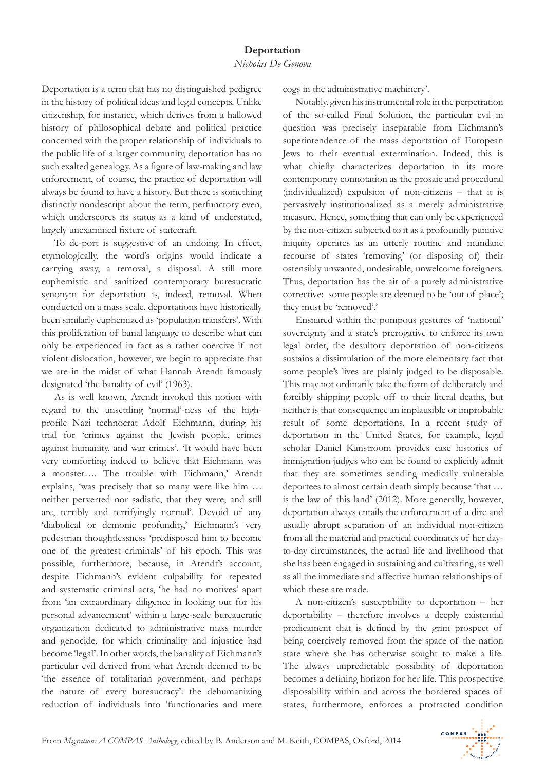Deportation is a term that has no distinguished pedigree in the history of political ideas and legal concepts. Unlike citizenship, for instance, which derives from a hallowed history of philosophical debate and political practice concerned with the proper relationship of individuals to the public life of a larger community, deportation has no such exalted genealogy. As a figure of law-making and law enforcement, of course, the practice of deportation will always be found to have a history. But there is something distinctly nondescript about the term, perfunctory even, which underscores its status as a kind of understated, largely unexamined fixture of statecraft.

To de-port is suggestive of an undoing. In effect, etymologically, the word's origins would indicate a carrying away, a removal, a disposal. A still more euphemistic and sanitized contemporary bureaucratic synonym for deportation is, indeed, removal. When conducted on a mass scale, deportations have historically been similarly euphemized as 'population transfers'. With this proliferation of banal language to describe what can only be experienced in fact as a rather coercive if not violent dislocation, however, we begin to appreciate that we are in the midst of what Hannah Arendt famously designated 'the banality of evil' (1963).

As is well known, Arendt invoked this notion with regard to the unsettling 'normal'-ness of the highprofile Nazi technocrat Adolf Eichmann, during his trial for 'crimes against the Jewish people, crimes against humanity, and war crimes'. 'It would have been very comforting indeed to believe that Eichmann was a monster…. The trouble with Eichmann,' Arendt explains, 'was precisely that so many were like him … neither perverted nor sadistic, that they were, and still are, terribly and terrifyingly normal'. Devoid of any 'diabolical or demonic profundity,' Eichmann's very pedestrian thoughtlessness 'predisposed him to become one of the greatest criminals' of his epoch. This was possible, furthermore, because, in Arendt's account, despite Eichmann's evident culpability for repeated and systematic criminal acts, 'he had no motives' apart from 'an extraordinary diligence in looking out for his personal advancement' within a large-scale bureaucratic organization dedicated to administrative mass murder and genocide, for which criminality and injustice had become 'legal'. In other words, the banality of Eichmann's particular evil derived from what Arendt deemed to be 'the essence of totalitarian government, and perhaps the nature of every bureaucracy': the dehumanizing reduction of individuals into 'functionaries and mere cogs in the administrative machinery'.

Notably, given his instrumental role in the perpetration of the so-called Final Solution, the particular evil in question was precisely inseparable from Eichmann's superintendence of the mass deportation of European Jews to their eventual extermination. Indeed, this is what chiefly characterizes deportation in its more contemporary connotation as the prosaic and procedural (individualized) expulsion of non-citizens – that it is pervasively institutionalized as a merely administrative measure. Hence, something that can only be experienced by the non-citizen subjected to it as a profoundly punitive iniquity operates as an utterly routine and mundane recourse of states 'removing' (or disposing of) their ostensibly unwanted, undesirable, unwelcome foreigners. Thus, deportation has the air of a purely administrative corrective: some people are deemed to be 'out of place'; they must be 'removed'.'

Ensnared within the pompous gestures of 'national' sovereignty and a state's prerogative to enforce its own legal order, the desultory deportation of non-citizens sustains a dissimulation of the more elementary fact that some people's lives are plainly judged to be disposable. This may not ordinarily take the form of deliberately and forcibly shipping people off to their literal deaths, but neither is that consequence an implausible or improbable result of some deportations. In a recent study of deportation in the United States, for example, legal scholar Daniel Kanstroom provides case histories of immigration judges who can be found to explicitly admit that they are sometimes sending medically vulnerable deportees to almost certain death simply because 'that … is the law of this land' (2012). More generally, however, deportation always entails the enforcement of a dire and usually abrupt separation of an individual non-citizen from all the material and practical coordinates of her dayto-day circumstances, the actual life and livelihood that she has been engaged in sustaining and cultivating, as well as all the immediate and affective human relationships of which these are made.

A non-citizen's susceptibility to deportation – her deportability – therefore involves a deeply existential predicament that is defined by the grim prospect of being coercively removed from the space of the nation state where she has otherwise sought to make a life. The always unpredictable possibility of deportation becomes a defining horizon for her life. This prospective disposability within and across the bordered spaces of states, furthermore, enforces a protracted condition